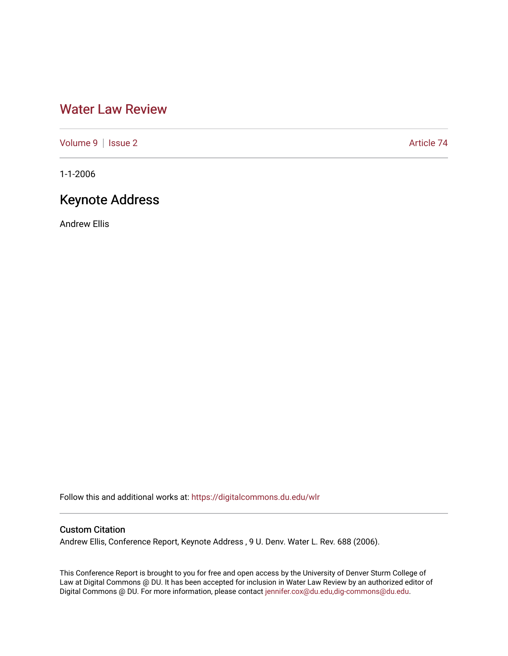## [Water Law Review](https://digitalcommons.du.edu/wlr)

[Volume 9](https://digitalcommons.du.edu/wlr/vol9) | [Issue 2](https://digitalcommons.du.edu/wlr/vol9/iss2) Article 74

1-1-2006

# Keynote Address

Andrew Ellis

Follow this and additional works at: [https://digitalcommons.du.edu/wlr](https://digitalcommons.du.edu/wlr?utm_source=digitalcommons.du.edu%2Fwlr%2Fvol9%2Fiss2%2F74&utm_medium=PDF&utm_campaign=PDFCoverPages) 

## Custom Citation

Andrew Ellis, Conference Report, Keynote Address , 9 U. Denv. Water L. Rev. 688 (2006).

This Conference Report is brought to you for free and open access by the University of Denver Sturm College of Law at Digital Commons @ DU. It has been accepted for inclusion in Water Law Review by an authorized editor of Digital Commons @ DU. For more information, please contact [jennifer.cox@du.edu,dig-commons@du.edu](mailto:jennifer.cox@du.edu,dig-commons@du.edu).